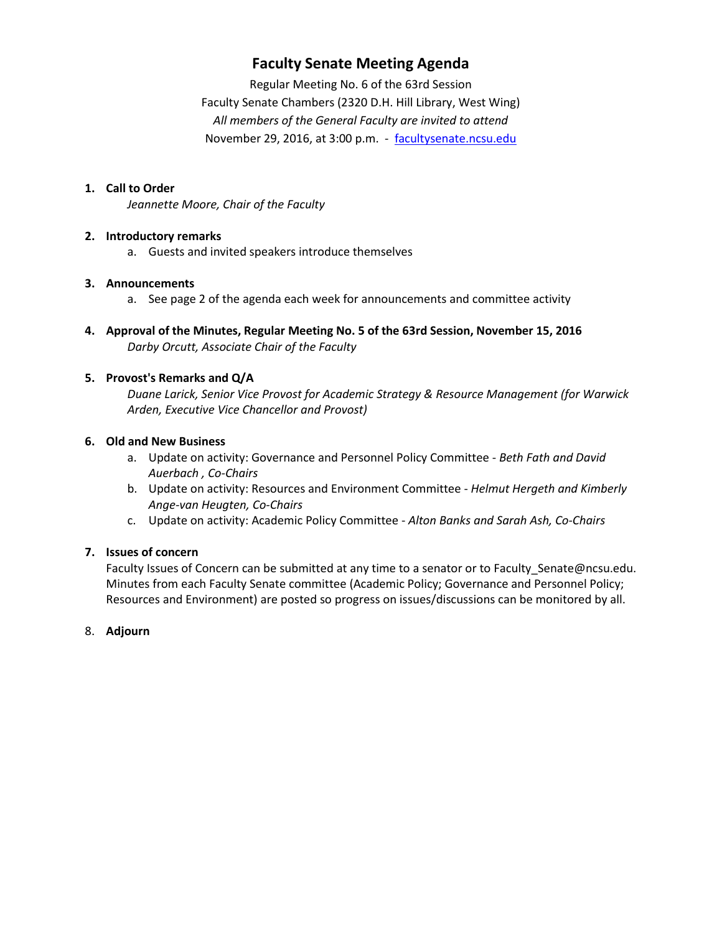## **Faculty Senate Meeting Agenda**

Regular Meeting No. 6 of the 63rd Session Faculty Senate Chambers (2320 D.H. Hill Library, West Wing) *All members of the General Faculty are invited to attend* November 29, 2016, at 3:00 p.m. - [facultysenate.ncsu.edu](https://facultysenate.ncsu.edu/)

## **1. Call to Order**

*Jeannette Moore, Chair of the Faculty*

## **2. Introductory remarks**

a. Guests and invited speakers introduce themselves

## **3. Announcements**

- a. See page 2 of the agenda each week for announcements and committee activity
- **4. Approval of the Minutes, Regular Meeting No. 5 of the 63rd Session, November 15, 2016** *Darby Orcutt, Associate Chair of the Faculty*

## **5. Provost's Remarks and Q/A**

*Duane Larick, Senior Vice Provost for Academic Strategy & Resource Management (for Warwick Arden, Executive Vice Chancellor and Provost)*

## **6. Old and New Business**

- a. Update on activity: Governance and Personnel Policy Committee *Beth Fath and David Auerbach , Co-Chairs*
- b. Update on activity: Resources and Environment Committee *Helmut Hergeth and Kimberly Ange-van Heugten, Co-Chairs*
- c. Update on activity: Academic Policy Committee *Alton Banks and Sarah Ash, Co-Chairs*

## **7. Issues of concern**

Faculty Issues of Concern can be submitted at any time to a senator or to Faculty\_Senate@ncsu.edu. Minutes from each Faculty Senate committee (Academic Policy; Governance and Personnel Policy; Resources and Environment) are posted so progress on issues/discussions can be monitored by all.

#### 8. **Adjourn**